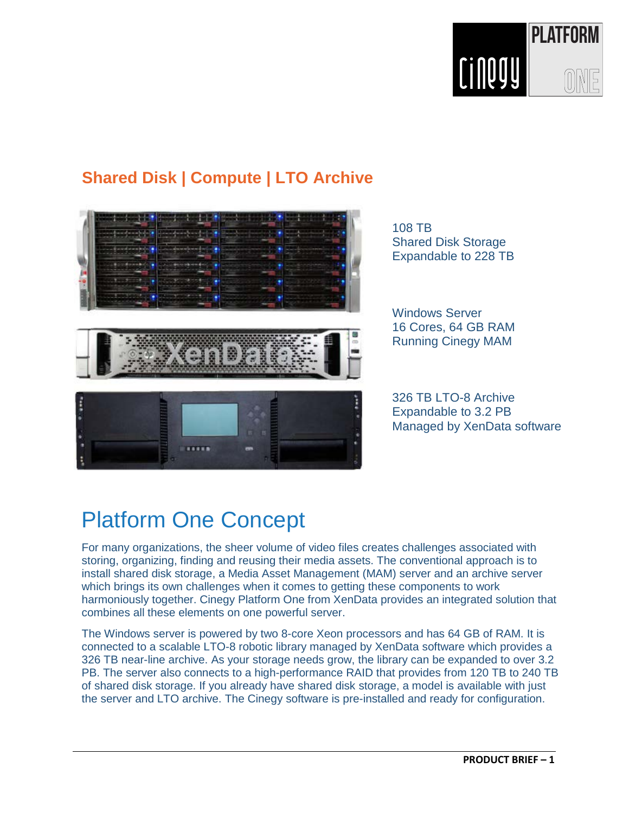

### **Shared Disk | Compute | LTO Archive**



108 TB Shared Disk Storage Expandable to 228 TB

Windows Server 16 Cores, 64 GB RAM Running Cinegy MAM

326 TB LTO-8 Archive Expandable to 3.2 PB Managed by XenData software

# Platform One Concept

For many organizations, the sheer volume of video files creates challenges associated with storing, organizing, finding and reusing their media assets. The conventional approach is to install shared disk storage, a Media Asset Management (MAM) server and an archive server which brings its own challenges when it comes to getting these components to work harmoniously together. Cinegy Platform One from XenData provides an integrated solution that combines all these elements on one powerful server.

The Windows server is powered by two 8-core Xeon processors and has 64 GB of RAM. It is connected to a scalable LTO-8 robotic library managed by XenData software which provides a 326 TB near-line archive. As your storage needs grow, the library can be expanded to over 3.2 PB. The server also connects to a high-performance RAID that provides from 120 TB to 240 TB of shared disk storage. If you already have shared disk storage, a model is available with just the server and LTO archive. The Cinegy software is pre-installed and ready for configuration.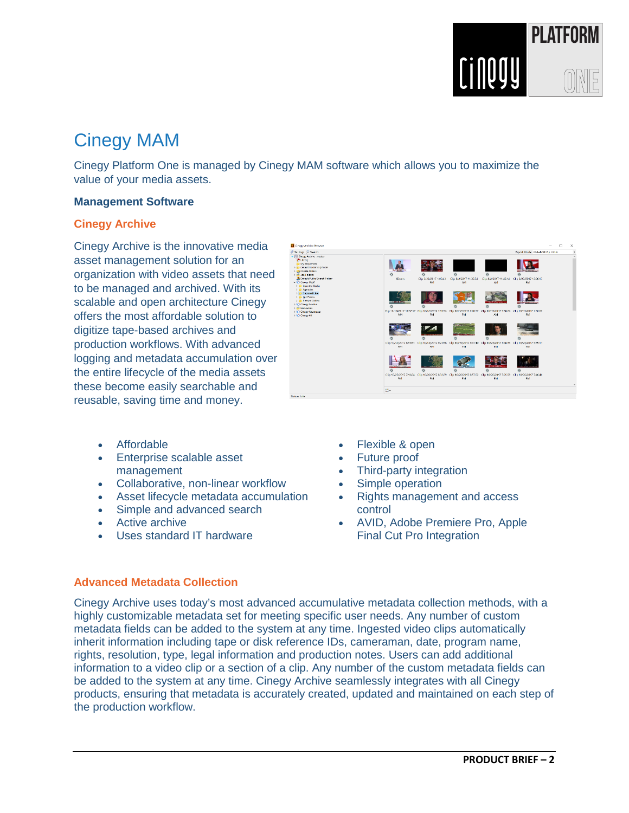

# Cinegy MAM

Cinegy Platform One is managed by Cinegy MAM software which allows you to maximize the value of your media assets.

#### **Management Software**

#### **Cinegy Archive**

Cinegy Archive is the innovative media asset management solution for an organization with video assets that need to be managed and archived. With its scalable and open architecture Cinegy offers the most affordable solution to digitize tape-based archives and production workflows. With advanced logging and metadata accumulation over the entire lifecycle of the media assets these become easily searchable and reusable, saving time and money.



- **Affordable**
- Enterprise scalable asset management
- Collaborative, non-linear workflow
- Asset lifecycle metadata accumulation
- Simple and advanced search
- Active archive
- Uses standard IT hardware
- Flexible & open
- Future proof
- Third-party integration
- Simple operation
- Rights management and access control
- AVID, Adobe Premiere Pro, Apple Final Cut Pro Integration

#### **Advanced Metadata Collection**

Cinegy Archive uses today's most advanced accumulative metadata collection methods, with a highly customizable metadata set for meeting specific user needs. Any number of custom metadata fields can be added to the system at any time. Ingested video clips automatically inherit information including tape or disk reference IDs, cameraman, date, program name, rights, resolution, type, legal information and production notes. Users can add additional information to a video clip or a section of a clip. Any number of the custom metadata fields can be added to the system at any time. Cinegy Archive seamlessly integrates with all Cinegy products, ensuring that metadata is accurately created, updated and maintained on each step of the production workflow.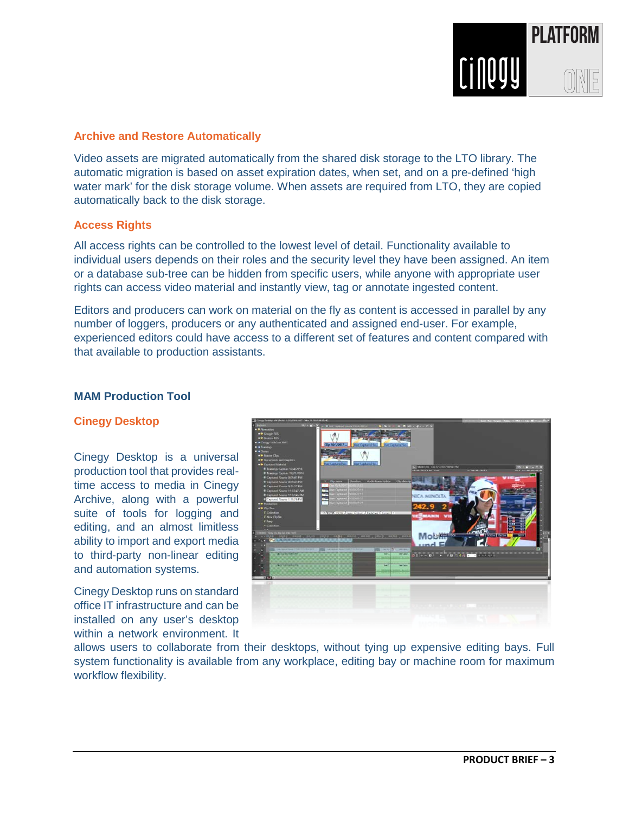

#### **Archive and Restore Automatically**

Video assets are migrated automatically from the shared disk storage to the LTO library. The automatic migration is based on asset expiration dates, when set, and on a pre-defined 'high water mark' for the disk storage volume. When assets are required from LTO, they are copied automatically back to the disk storage.

#### **Access Rights**

All access rights can be controlled to the lowest level of detail. Functionality available to individual users depends on their roles and the security level they have been assigned. An item or a database sub-tree can be hidden from specific users, while anyone with appropriate user rights can access video material and instantly view, tag or annotate ingested content.

Editors and producers can work on material on the fly as content is accessed in parallel by any number of loggers, producers or any authenticated and assigned end-user. For example, experienced editors could have access to a different set of features and content compared with that available to production assistants.

#### **MAM Production Tool**

#### **Cinegy Desktop**

Cinegy Desktop is a universal production tool that provides realtime access to media in Cinegy Archive, along with a powerful suite of tools for logging and editing, and an almost limitless ability to import and export media to third-party non-linear editing and automation systems.

Cinegy Desktop runs on standard office IT infrastructure and can be installed on any user's desktop within a network environment. It



allows users to collaborate from their desktops, without tying up expensive editing bays. Full system functionality is available from any workplace, editing bay or machine room for maximum workflow flexibility.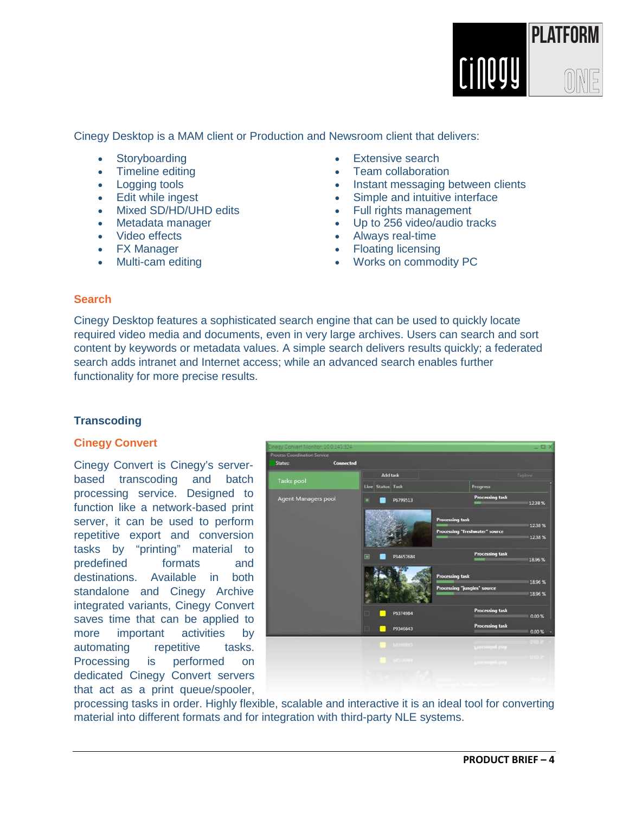

Cinegy Desktop is a MAM client or Production and Newsroom client that delivers:

- **Storyboarding**
- Timeline editing
- **Logging tools**
- **Edit while ingest**
- Mixed SD/HD/UHD edits
- Metadata manager
- Video effects
- FX Manager
- Multi-cam editing
- **Extensive search**
- Team collaboration
- Instant messaging between clients
- Simple and intuitive interface
- Full rights management
- Up to 256 video/audio tracks
- Always real-time
- Floating licensing
- Works on commodity PC

#### **Search**

Cinegy Desktop features a sophisticated search engine that can be used to quickly locate required video media and documents, even in very large archives. Users can search and sort content by keywords or metadata values. A simple search delivers results quickly; a federated search adds intranet and Internet access; while an advanced search enables further functionality for more precise results.

#### **Transcoding**

#### **Cinegy Convert**

Cinegy Convert is Cinegy's serverbased transcoding and batch processing service. Designed to function like a network-based print server, it can be used to perform repetitive export and conversion tasks by "printing" material to predefined formats and destinations. Available in both standalone and Cinegy Archive integrated variants, Cinegy Convert saves time that can be applied to more important activities by automating repetitive tasks. Processing is performed on dedicated Cinegy Convert servers that act as a print queue/spooler,



processing tasks in order. Highly flexible, scalable and interactive it is an ideal tool for converting material into different formats and for integration with third-party NLE systems.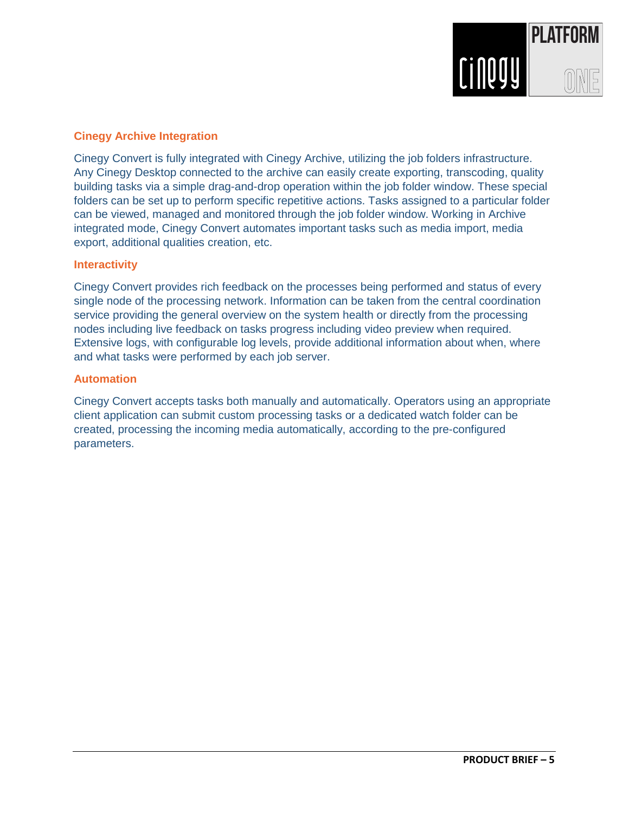

#### **Cinegy Archive Integration**

Cinegy Convert is fully integrated with Cinegy Archive, utilizing the job folders infrastructure. Any Cinegy Desktop connected to the archive can easily create exporting, transcoding, quality building tasks via a simple drag-and-drop operation within the job folder window. These special folders can be set up to perform specific repetitive actions. Tasks assigned to a particular folder can be viewed, managed and monitored through the job folder window. Working in Archive integrated mode, Cinegy Convert automates important tasks such as media import, media export, additional qualities creation, etc.

#### **Interactivity**

Cinegy Convert provides rich feedback on the processes being performed and status of every single node of the processing network. Information can be taken from the central coordination service providing the general overview on the system health or directly from the processing nodes including live feedback on tasks progress including video preview when required. Extensive logs, with configurable log levels, provide additional information about when, where and what tasks were performed by each job server.

#### **Automation**

Cinegy Convert accepts tasks both manually and automatically. Operators using an appropriate client application can submit custom processing tasks or a dedicated watch folder can be created, processing the incoming media automatically, according to the pre-configured parameters.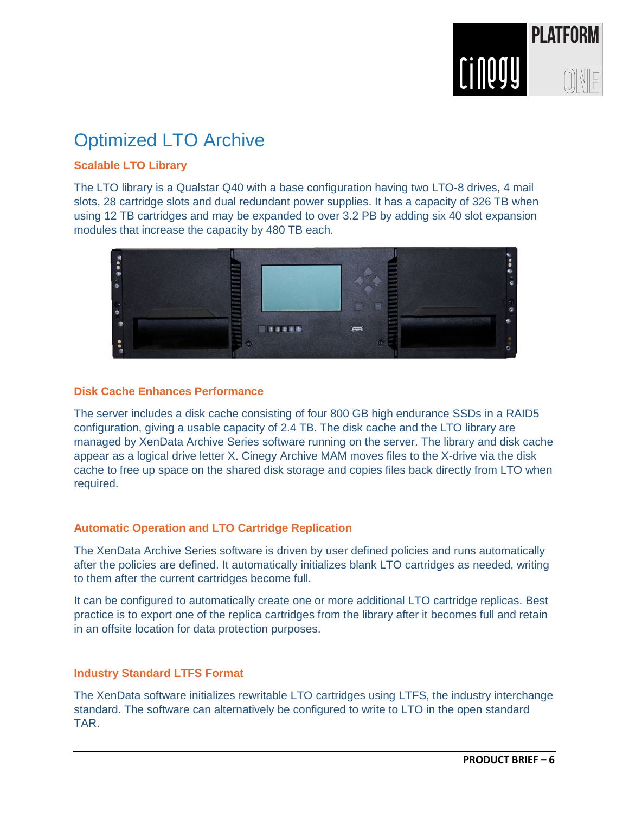

# Optimized LTO Archive

### **Scalable LTO Library**

The LTO library is a Qualstar Q40 with a base configuration having two LTO-8 drives, 4 mail slots, 28 cartridge slots and dual redundant power supplies. It has a capacity of 326 TB when using 12 TB cartridges and may be expanded to over 3.2 PB by adding six 40 slot expansion modules that increase the capacity by 480 TB each.



#### **Disk Cache Enhances Performance**

The server includes a disk cache consisting of four 800 GB high endurance SSDs in a RAID5 configuration, giving a usable capacity of 2.4 TB. The disk cache and the LTO library are managed by XenData Archive Series software running on the server. The library and disk cache appear as a logical drive letter X. Cinegy Archive MAM moves files to the X-drive via the disk cache to free up space on the shared disk storage and copies files back directly from LTO when required.

#### **Automatic Operation and LTO Cartridge Replication**

The XenData Archive Series software is driven by user defined policies and runs automatically after the policies are defined. It automatically initializes blank LTO cartridges as needed, writing to them after the current cartridges become full.

It can be configured to automatically create one or more additional LTO cartridge replicas. Best practice is to export one of the replica cartridges from the library after it becomes full and retain in an offsite location for data protection purposes.

#### **Industry Standard LTFS Format**

The XenData software initializes rewritable LTO cartridges using LTFS, the industry interchange standard. The software can alternatively be configured to write to LTO in the open standard TAR.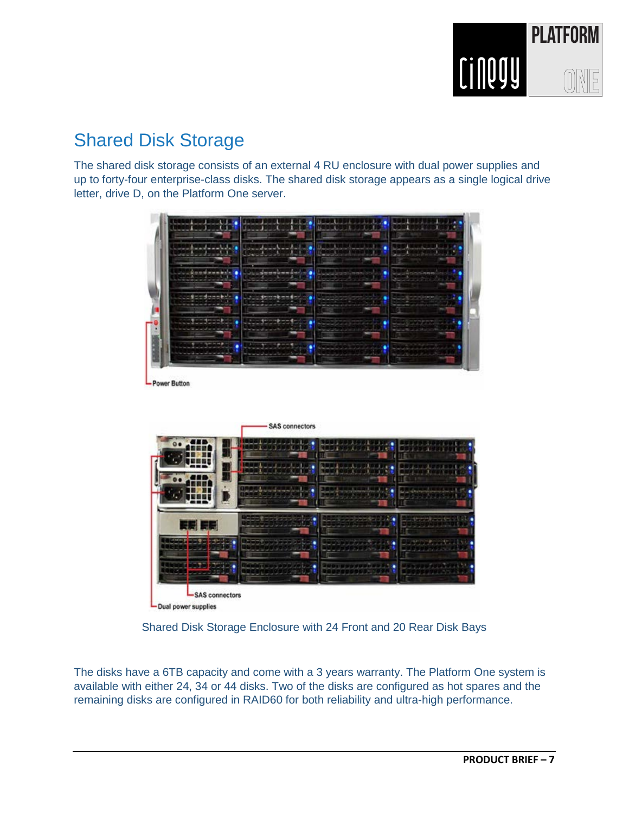

# Shared Disk Storage

The shared disk storage consists of an external 4 RU enclosure with dual power supplies and up to forty-four enterprise-class disks. The shared disk storage appears as a single logical drive letter, drive D, on the Platform One server.



Power Button



Dual power supplies

Shared Disk Storage Enclosure with 24 Front and 20 Rear Disk Bays

The disks have a 6TB capacity and come with a 3 years warranty. The Platform One system is available with either 24, 34 or 44 disks. Two of the disks are configured as hot spares and the remaining disks are configured in RAID60 for both reliability and ultra-high performance.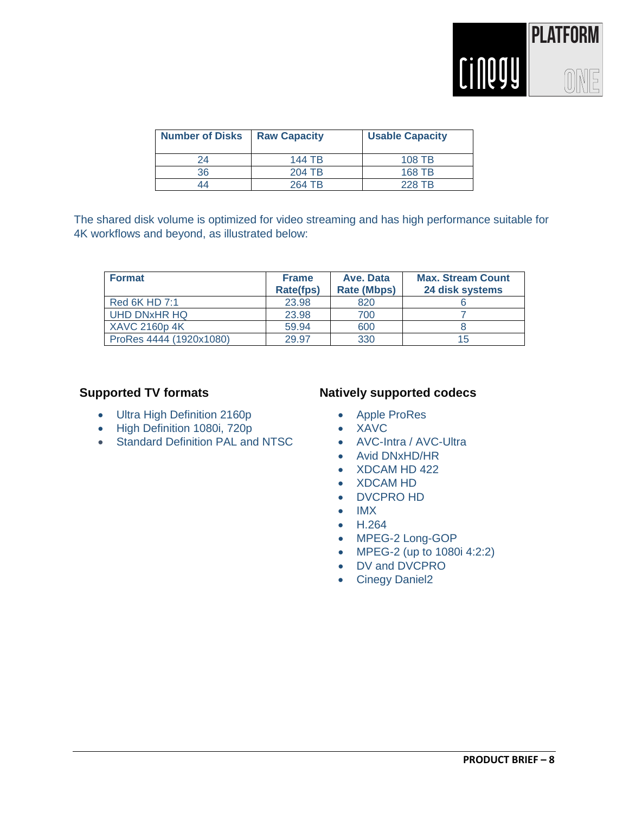

| <b>Number of Disks</b> | <b>Raw Capacity</b> | <b>Usable Capacity</b> |
|------------------------|---------------------|------------------------|
| 24                     | 144 TB              | 108 TB                 |
| 36                     | 204 TB              | 168 TB                 |
| 44                     | 264 TB              | 228 TB                 |

The shared disk volume is optimized for video streaming and has high performance suitable for 4K workflows and beyond, as illustrated below:

| <b>Format</b>           | <b>Frame</b><br><b>Rate(fps)</b> | Ave. Data<br><b>Rate (Mbps)</b> | <b>Max. Stream Count</b><br>24 disk systems |
|-------------------------|----------------------------------|---------------------------------|---------------------------------------------|
| Red 6K HD 7:1           | 23.98                            | 820                             |                                             |
| UHD DNxHR HQ            | 23.98                            | 700                             |                                             |
| <b>XAVC 2160p 4K</b>    | 59.94                            | 600                             |                                             |
| ProRes 4444 (1920x1080) | 29.97                            | 330                             | 15                                          |

### **Supported TV formats**

- Ultra High Definition 2160p
- High Definition 1080i, 720p
- Standard Definition PAL and NTSC

#### **Natively supported codecs**

- Apple ProRes
- XAVC
- AVC-Intra / AVC-Ultra
- Avid DNxHD/HR
- XDCAM HD 422
- XDCAM HD
- DVCPRO HD
- IMX
- H.264
- MPEG-2 Long-GOP
- MPEG-2 (up to 1080i 4:2:2)
- DV and DVCPRO
- Cinegy Daniel2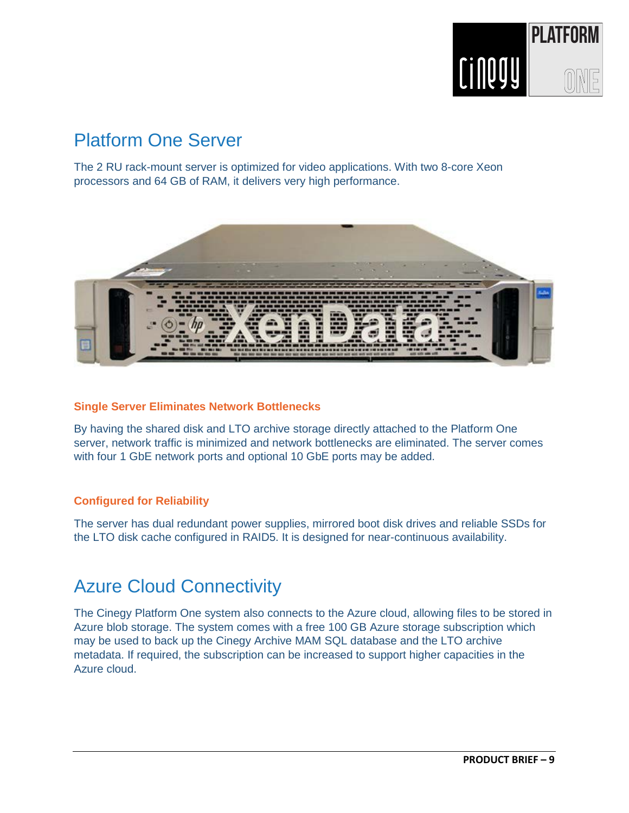

# Platform One Server

The 2 RU rack-mount server is optimized for video applications. With two 8-core Xeon processors and 64 GB of RAM, it delivers very high performance.



#### **Single Server Eliminates Network Bottlenecks**

By having the shared disk and LTO archive storage directly attached to the Platform One server, network traffic is minimized and network bottlenecks are eliminated. The server comes with four 1 GbE network ports and optional 10 GbE ports may be added.

#### **Configured for Reliability**

The server has dual redundant power supplies, mirrored boot disk drives and reliable SSDs for the LTO disk cache configured in RAID5. It is designed for near-continuous availability.

## Azure Cloud Connectivity

The Cinegy Platform One system also connects to the Azure cloud, allowing files to be stored in Azure blob storage. The system comes with a free 100 GB Azure storage subscription which may be used to back up the Cinegy Archive MAM SQL database and the LTO archive metadata. If required, the subscription can be increased to support higher capacities in the Azure cloud.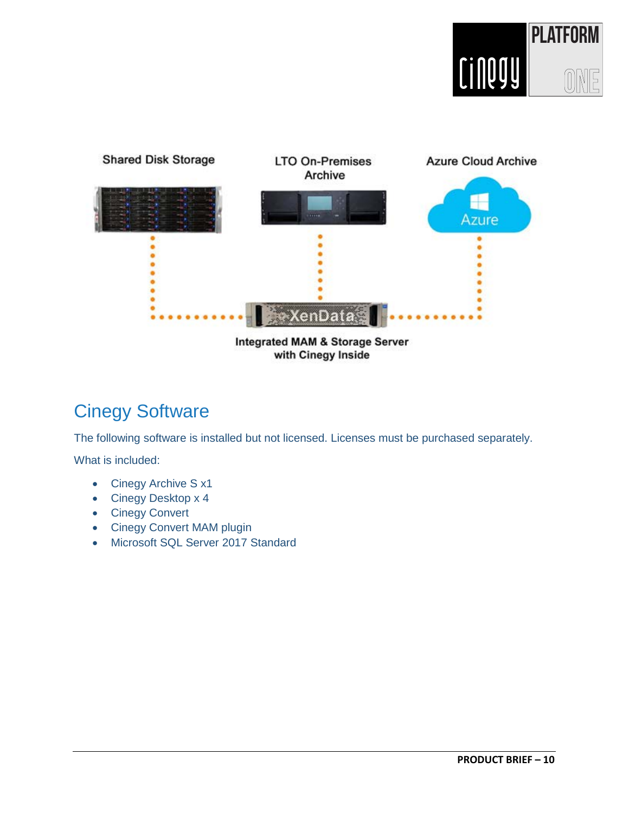



# Cinegy Software

The following software is installed but not licensed. Licenses must be purchased separately.

What is included:

- Cinegy Archive S x1
- Cinegy Desktop x 4
- Cinegy Convert
- Cinegy Convert MAM plugin
- Microsoft SQL Server 2017 Standard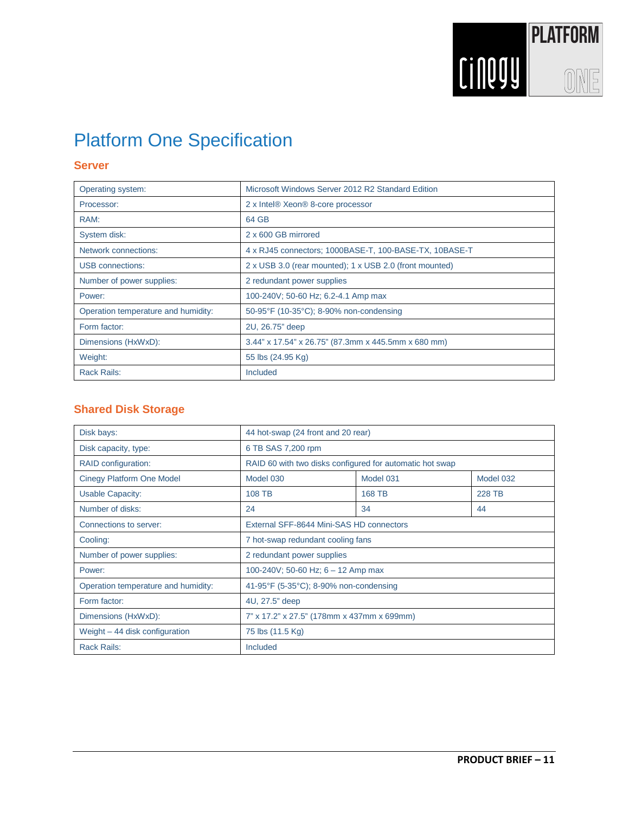

# Platform One Specification

#### **Server**

| Operating system:                   | Microsoft Windows Server 2012 R2 Standard Edition       |
|-------------------------------------|---------------------------------------------------------|
| Processor:                          | 2 x Intel® Xeon® 8-core processor                       |
| RAM:                                | 64 GB                                                   |
| System disk:                        | 2 x 600 GB mirrored                                     |
| <b>Network connections:</b>         | 4 x RJ45 connectors; 1000BASE-T, 100-BASE-TX, 10BASE-T  |
| <b>USB</b> connections:             | 2 x USB 3.0 (rear mounted); 1 x USB 2.0 (front mounted) |
| Number of power supplies:           | 2 redundant power supplies                              |
| Power:                              | 100-240V; 50-60 Hz; 6.2-4.1 Amp max                     |
| Operation temperature and humidity: | 50-95°F (10-35°C); 8-90% non-condensing                 |
| Form factor:                        | 2U, 26.75" deep                                         |
| Dimensions (HxWxD):                 | 3.44" x 17.54" x 26.75" (87.3mm x 445.5mm x 680 mm)     |
| Weight:                             | 55 lbs (24.95 Kg)                                       |
| <b>Rack Rails:</b>                  | Included                                                |

### **Shared Disk Storage**

| Disk bays:                          | 44 hot-swap (24 front and 20 rear)                       |           |           |
|-------------------------------------|----------------------------------------------------------|-----------|-----------|
| Disk capacity, type:                | 6 TB SAS 7,200 rpm                                       |           |           |
| RAID configuration:                 | RAID 60 with two disks configured for automatic hot swap |           |           |
| <b>Cinegy Platform One Model</b>    | Model 030                                                | Model 031 | Model 032 |
| <b>Usable Capacity:</b>             | <b>108 TB</b>                                            | 168 TB    | 228 TB    |
| Number of disks:                    | 24                                                       | 34        | 44        |
| Connections to server:              | External SFF-8644 Mini-SAS HD connectors                 |           |           |
| Cooling:                            | 7 hot-swap redundant cooling fans                        |           |           |
| Number of power supplies:           | 2 redundant power supplies                               |           |           |
| Power:                              | 100-240V; 50-60 Hz; $6 - 12$ Amp max                     |           |           |
| Operation temperature and humidity: | 41-95°F (5-35°C); 8-90% non-condensing                   |           |           |
| Form factor:                        | 4U, 27.5" deep                                           |           |           |
| Dimensions (HxWxD):                 | 7" x 17.2" x 27.5" (178mm x 437mm x 699mm)               |           |           |
| Weight $-44$ disk configuration     | 75 lbs (11.5 Kg)                                         |           |           |
| <b>Rack Rails:</b>                  | Included                                                 |           |           |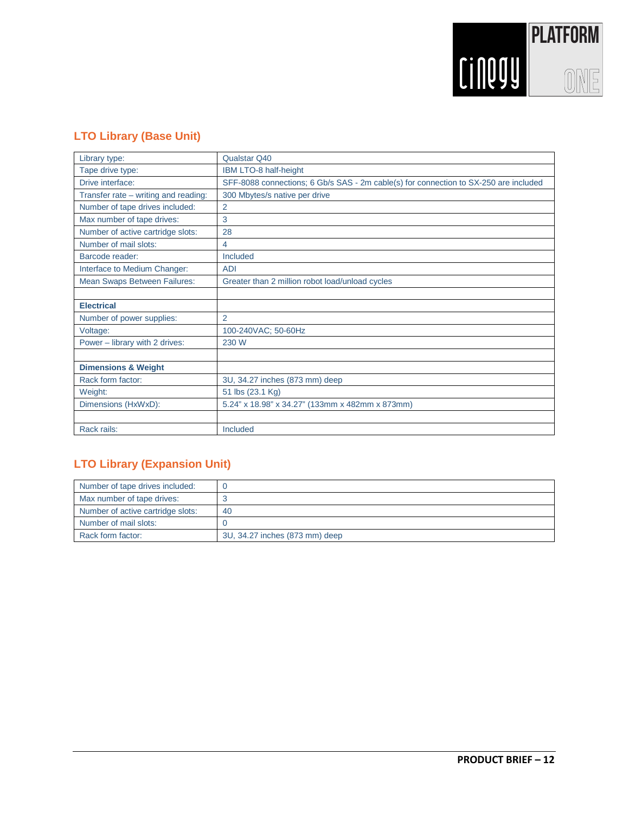

### **LTO Library (Base Unit)**

| Library type:                        | Qualstar Q40                                                                         |
|--------------------------------------|--------------------------------------------------------------------------------------|
| Tape drive type:                     | IBM LTO-8 half-height                                                                |
| Drive interface:                     | SFF-8088 connections; 6 Gb/s SAS - 2m cable(s) for connection to SX-250 are included |
| Transfer rate – writing and reading: | 300 Mbytes/s native per drive                                                        |
| Number of tape drives included:      | $\overline{2}$                                                                       |
| Max number of tape drives:           | 3                                                                                    |
| Number of active cartridge slots:    | 28                                                                                   |
| Number of mail slots:                | 4                                                                                    |
| Barcode reader:                      | Included                                                                             |
| Interface to Medium Changer:         | <b>ADI</b>                                                                           |
| Mean Swaps Between Failures:         | Greater than 2 million robot load/unload cycles                                      |
|                                      |                                                                                      |
| <b>Electrical</b>                    |                                                                                      |
| Number of power supplies:            | $\overline{2}$                                                                       |
| Voltage:                             | 100-240VAC; 50-60Hz                                                                  |
| Power - library with 2 drives:       | 230 W                                                                                |
|                                      |                                                                                      |
| <b>Dimensions &amp; Weight</b>       |                                                                                      |
| Rack form factor:                    | 3U, 34.27 inches (873 mm) deep                                                       |
| Weight:                              | 51 lbs (23.1 Kg)                                                                     |
| Dimensions (HxWxD):                  | 5.24" x 18.98" x 34.27" (133mm x 482mm x 873mm)                                      |
|                                      |                                                                                      |
| Rack rails:                          | Included                                                                             |

### **LTO Library (Expansion Unit)**

| Number of tape drives included:   |                                |
|-----------------------------------|--------------------------------|
| Max number of tape drives:        |                                |
| Number of active cartridge slots: | 40                             |
| Number of mail slots:             |                                |
| Rack form factor:                 | 3U, 34.27 inches (873 mm) deep |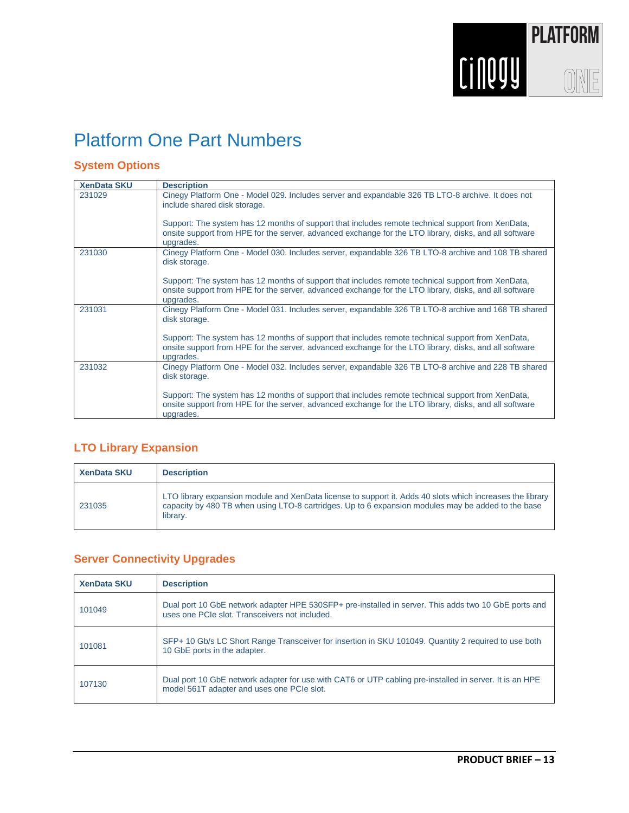

# Platform One Part Numbers

### **System Options**

| <b>XenData SKU</b> | <b>Description</b>                                                                                                                                                                                                       |
|--------------------|--------------------------------------------------------------------------------------------------------------------------------------------------------------------------------------------------------------------------|
| 231029             | Cinegy Platform One - Model 029. Includes server and expandable 326 TB LTO-8 archive. It does not<br>include shared disk storage.                                                                                        |
|                    | Support: The system has 12 months of support that includes remote technical support from XenData,<br>onsite support from HPE for the server, advanced exchange for the LTO library, disks, and all software<br>upgrades. |
| 231030             | Cinegy Platform One - Model 030. Includes server, expandable 326 TB LTO-8 archive and 108 TB shared<br>disk storage.                                                                                                     |
|                    | Support: The system has 12 months of support that includes remote technical support from XenData,<br>onsite support from HPE for the server, advanced exchange for the LTO library, disks, and all software<br>upgrades. |
| 231031             | Cinegy Platform One - Model 031. Includes server, expandable 326 TB LTO-8 archive and 168 TB shared<br>disk storage.                                                                                                     |
|                    | Support: The system has 12 months of support that includes remote technical support from XenData,<br>onsite support from HPE for the server, advanced exchange for the LTO library, disks, and all software<br>upgrades. |
| 231032             | Cinegy Platform One - Model 032. Includes server, expandable 326 TB LTO-8 archive and 228 TB shared<br>disk storage.                                                                                                     |
|                    | Support: The system has 12 months of support that includes remote technical support from XenData,<br>onsite support from HPE for the server, advanced exchange for the LTO library, disks, and all software<br>upgrades. |

### **LTO Library Expansion**

| <b>XenData SKU</b> | <b>Description</b>                                                                                                                                                                                                          |
|--------------------|-----------------------------------------------------------------------------------------------------------------------------------------------------------------------------------------------------------------------------|
| 231035             | LTO library expansion module and XenData license to support it. Adds 40 slots which increases the library<br>capacity by 480 TB when using LTO-8 cartridges. Up to 6 expansion modules may be added to the base<br>library. |

### **Server Connectivity Upgrades**

| <b>XenData SKU</b> | <b>Description</b>                                                                                                                                     |
|--------------------|--------------------------------------------------------------------------------------------------------------------------------------------------------|
| 101049             | Dual port 10 GbE network adapter HPE 530SFP+ pre-installed in server. This adds two 10 GbE ports and<br>uses one PCIe slot. Transceivers not included. |
| 101081             | SFP+ 10 Gb/s LC Short Range Transceiver for insertion in SKU 101049. Quantity 2 required to use both<br>10 GbE ports in the adapter.                   |
| 107130             | Dual port 10 GbE network adapter for use with CAT6 or UTP cabling pre-installed in server. It is an HPE<br>model 561T adapter and uses one PCIe slot.  |